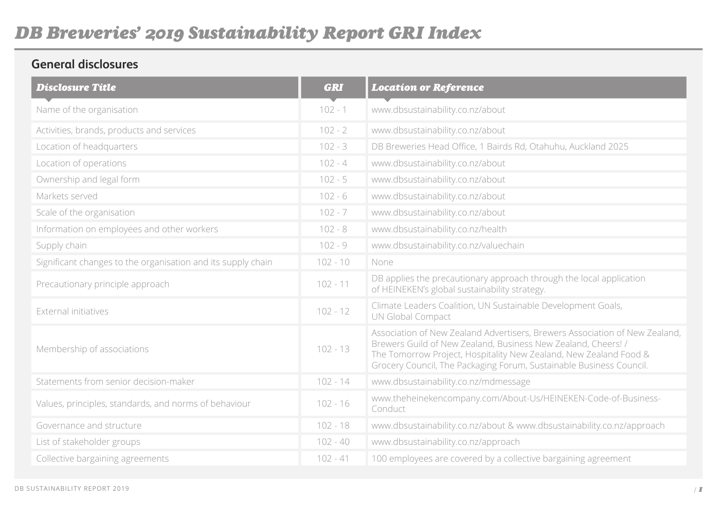#### **General disclosures**

| <b>Disclosure Title</b>                                      | <b>GRI</b> | <b>Location or Reference</b>                                                                                                                                                                                                                                                             |
|--------------------------------------------------------------|------------|------------------------------------------------------------------------------------------------------------------------------------------------------------------------------------------------------------------------------------------------------------------------------------------|
| Name of the organisation                                     | $102 - 1$  | www.dbsustainability.co.nz/about                                                                                                                                                                                                                                                         |
| Activities, brands, products and services                    | $102 - 2$  | www.dbsustainability.co.nz/about                                                                                                                                                                                                                                                         |
| Location of headquarters                                     | $102 - 3$  | DB Breweries Head Office, 1 Bairds Rd, Otahuhu, Auckland 2025                                                                                                                                                                                                                            |
| Location of operations                                       | $102 - 4$  | www.dbsustainability.co.nz/about                                                                                                                                                                                                                                                         |
| Ownership and legal form                                     | $102 - 5$  | www.dbsustainability.co.nz/about                                                                                                                                                                                                                                                         |
| Markets served                                               | $102 - 6$  | www.dbsustainability.co.nz/about                                                                                                                                                                                                                                                         |
| Scale of the organisation                                    | $102 - 7$  | www.dbsustainability.co.nz/about                                                                                                                                                                                                                                                         |
| Information on employees and other workers                   | $102 - 8$  | www.dbsustainability.co.nz/health                                                                                                                                                                                                                                                        |
| Supply chain                                                 | $102 - 9$  | www.dbsustainability.co.nz/valuechain                                                                                                                                                                                                                                                    |
| Significant changes to the organisation and its supply chain | $102 - 10$ | None                                                                                                                                                                                                                                                                                     |
| Precautionary principle approach                             | $102 - 11$ | DB applies the precautionary approach through the local application<br>of HEINEKEN's global sustainability strategy.                                                                                                                                                                     |
| External initiatives                                         | $102 - 12$ | Climate Leaders Coalition, UN Sustainable Development Goals,<br>UN Global Compact                                                                                                                                                                                                        |
| Membership of associations                                   | $102 - 13$ | Association of New Zealand Advertisers, Brewers Association of New Zealand,<br>Brewers Guild of New Zealand, Business New Zealand, Cheers! /<br>The Tomorrow Project, Hospitality New Zealand, New Zealand Food &<br>Grocery Council, The Packaging Forum, Sustainable Business Council. |
| Statements from senior decision-maker                        | $102 - 14$ | www.dbsustainability.co.nz/mdmessage                                                                                                                                                                                                                                                     |
| Values, principles, standards, and norms of behaviour        | $102 - 16$ | www.theheinekencompany.com/About-Us/HEINEKEN-Code-of-Business-<br>Conduct                                                                                                                                                                                                                |
| Governance and structure                                     | $102 - 18$ | www.dbsustainability.co.nz/about & www.dbsustainability.co.nz/approach                                                                                                                                                                                                                   |
| List of stakeholder groups                                   | $102 - 40$ | www.dbsustainability.co.nz/approach                                                                                                                                                                                                                                                      |
| Collective bargaining agreements                             | $102 - 41$ | 100 employees are covered by a collective bargaining agreement                                                                                                                                                                                                                           |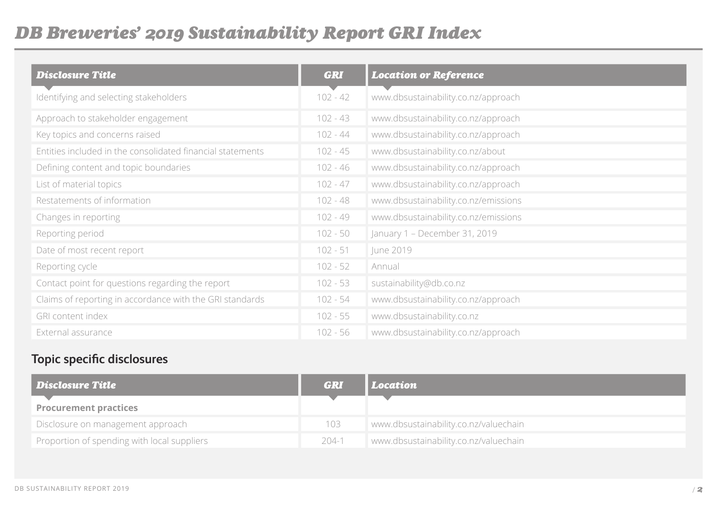# *DB Breweries' 2019 Sustainability Report GRI Index*

| <b>Disclosure Title</b>                                    | <b>GRI</b> | <b>Location or Reference</b>         |
|------------------------------------------------------------|------------|--------------------------------------|
| Identifying and selecting stakeholders                     | $102 - 42$ | www.dbsustainability.co.nz/approach  |
| Approach to stakeholder engagement                         | 102 - 43   | www.dbsustainability.co.nz/approach  |
| Key topics and concerns raised                             | $102 - 44$ | www.dbsustainability.co.nz/approach  |
| Entities included in the consolidated financial statements | $102 - 45$ | www.dbsustainability.co.nz/about     |
| Defining content and topic boundaries                      | 102 - 46   | www.dbsustainability.co.nz/approach  |
| List of material topics                                    | $102 - 47$ | www.dbsustainability.co.nz/approach  |
| Restatements of information                                | $102 - 48$ | www.dbsustainability.co.nz/emissions |
| Changes in reporting                                       | $102 - 49$ | www.dbsustainability.co.nz/emissions |
| Reporting period                                           | $102 - 50$ | January 1 - December 31, 2019        |
| Date of most recent report                                 | $102 - 51$ | June 2019                            |
| Reporting cycle                                            | $102 - 52$ | Annual                               |
| Contact point for questions regarding the report           | $102 - 53$ | sustainability@db.co.nz              |
| Claims of reporting in accordance with the GRI standards   | $102 - 54$ | www.dbsustainability.co.nz/approach  |
| <b>GRI content index</b>                                   | $102 - 55$ | www.dbsustainability.co.nz           |
| External assurance                                         | $102 - 56$ | www.dbsustainability.co.nz/approach  |

### **Topic specific disclosures**

| <b>Disclosure Title</b>                     | <b>GRI</b> | Location                              |
|---------------------------------------------|------------|---------------------------------------|
| <b>Procurement practices</b>                |            |                                       |
| Disclosure on management approach           | 103        | www.dbsustainability.co.nz/valuechain |
| Proportion of spending with local suppliers | 204-1      | www.dbsustainability.co.nz/valuechain |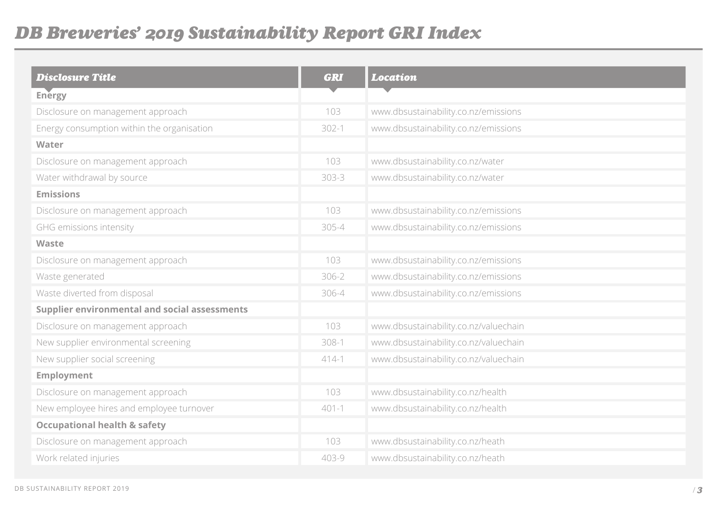# *DB Breweries' 2019 Sustainability Report GRI Index*

| <b>Disclosure Title</b>                              | <b>GRI</b> | <b>Location</b>                       |
|------------------------------------------------------|------------|---------------------------------------|
| Energy                                               |            |                                       |
| Disclosure on management approach                    | 103        | www.dbsustainability.co.nz/emissions  |
| Energy consumption within the organisation           | $302 - 1$  | www.dbsustainability.co.nz/emissions  |
| Water                                                |            |                                       |
| Disclosure on management approach                    | 103        | www.dbsustainability.co.nz/water      |
| Water withdrawal by source                           | 303-3      | www.dbsustainability.co.nz/water      |
| <b>Emissions</b>                                     |            |                                       |
| Disclosure on management approach                    | 103        | www.dbsustainability.co.nz/emissions  |
| GHG emissions intensity                              | 305-4      | www.dbsustainability.co.nz/emissions  |
| Waste                                                |            |                                       |
| Disclosure on management approach                    | 103        | www.dbsustainability.co.nz/emissions  |
| Waste generated                                      | 306-2      | www.dbsustainability.co.nz/emissions  |
| Waste diverted from disposal                         | 306-4      | www.dbsustainability.co.nz/emissions  |
| <b>Supplier environmental and social assessments</b> |            |                                       |
| Disclosure on management approach                    | 103        | www.dbsustainability.co.nz/valuechain |
| New supplier environmental screening                 | $308-1$    | www.dbsustainability.co.nz/valuechain |
| New supplier social screening                        | $414-1$    | www.dbsustainability.co.nz/valuechain |
| <b>Employment</b>                                    |            |                                       |
| Disclosure on management approach                    | 103        | www.dbsustainability.co.nz/health     |
| New employee hires and employee turnover             | $401 - 1$  | www.dbsustainability.co.nz/health     |
| <b>Occupational health &amp; safety</b>              |            |                                       |
| Disclosure on management approach                    | 103        | www.dbsustainability.co.nz/heath      |
| Work related injuries                                | 403-9      | www.dbsustainability.co.nz/heath      |